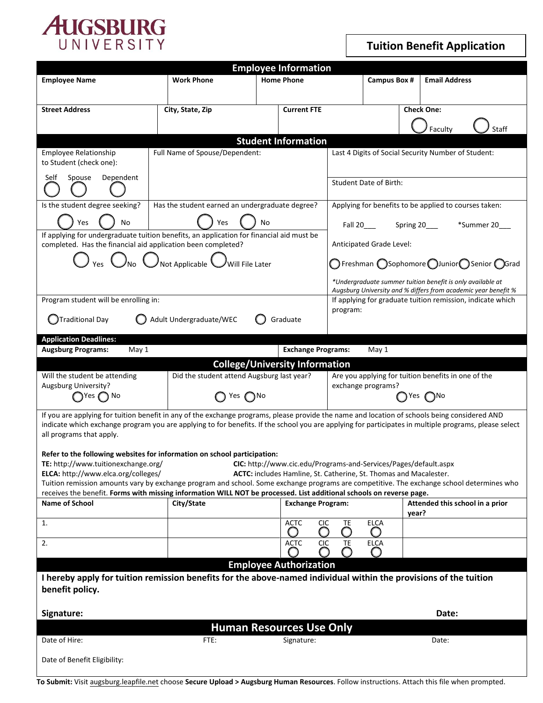

**Tuition Benefit Application**

| <b>Employee Information</b>                                                                                                                                                       |                                                                                          |                                                                                                                                       |                                                                                              |                                                                                                                              |  |  |
|-----------------------------------------------------------------------------------------------------------------------------------------------------------------------------------|------------------------------------------------------------------------------------------|---------------------------------------------------------------------------------------------------------------------------------------|----------------------------------------------------------------------------------------------|------------------------------------------------------------------------------------------------------------------------------|--|--|
| <b>Employee Name</b>                                                                                                                                                              | <b>Work Phone</b>                                                                        | <b>Home Phone</b>                                                                                                                     | <b>Campus Box #</b>                                                                          | <b>Email Address</b>                                                                                                         |  |  |
|                                                                                                                                                                                   |                                                                                          |                                                                                                                                       |                                                                                              |                                                                                                                              |  |  |
| <b>Street Address</b>                                                                                                                                                             | City, State, Zip                                                                         | <b>Current FTE</b>                                                                                                                    |                                                                                              | <b>Check One:</b>                                                                                                            |  |  |
|                                                                                                                                                                                   |                                                                                          |                                                                                                                                       |                                                                                              |                                                                                                                              |  |  |
|                                                                                                                                                                                   |                                                                                          |                                                                                                                                       |                                                                                              | Faculty<br>Staff                                                                                                             |  |  |
| <b>Student Information</b>                                                                                                                                                        |                                                                                          |                                                                                                                                       |                                                                                              |                                                                                                                              |  |  |
| Employee Relationship                                                                                                                                                             | Full Name of Spouse/Dependent:                                                           |                                                                                                                                       |                                                                                              | Last 4 Digits of Social Security Number of Student:                                                                          |  |  |
| to Student (check one):                                                                                                                                                           |                                                                                          |                                                                                                                                       |                                                                                              |                                                                                                                              |  |  |
| Dependent<br>Spouse<br>Self                                                                                                                                                       |                                                                                          |                                                                                                                                       | Student Date of Birth:                                                                       |                                                                                                                              |  |  |
|                                                                                                                                                                                   |                                                                                          |                                                                                                                                       |                                                                                              |                                                                                                                              |  |  |
| Is the student degree seeking?                                                                                                                                                    |                                                                                          | Has the student earned an undergraduate degree?                                                                                       |                                                                                              | Applying for benefits to be applied to courses taken:                                                                        |  |  |
| Yes<br>No                                                                                                                                                                         | Yes                                                                                      | No<br>Fall 20____                                                                                                                     |                                                                                              | Spring 20___<br>*Summer 20                                                                                                   |  |  |
|                                                                                                                                                                                   | If applying for undergraduate tuition benefits, an application for financial aid must be |                                                                                                                                       |                                                                                              |                                                                                                                              |  |  |
| completed. Has the financial aid application been completed?                                                                                                                      |                                                                                          |                                                                                                                                       | Anticipated Grade Level:                                                                     |                                                                                                                              |  |  |
| $\bigcirc$ Yes $\bigcirc$ No $\bigcirc$ Not Applicable $\bigcirc$ Will File Later                                                                                                 |                                                                                          |                                                                                                                                       | $\bigcirc$ Freshman $\bigcirc$ Sophomore $\bigcirc$ Junior $\bigcirc$ Senior $\bigcirc$ Grad |                                                                                                                              |  |  |
|                                                                                                                                                                                   |                                                                                          |                                                                                                                                       |                                                                                              | *Undergraduate summer tuition benefit is only available at<br>Augsburg University and % differs from academic year benefit % |  |  |
| Program student will be enrolling in:                                                                                                                                             |                                                                                          |                                                                                                                                       | If applying for graduate tuition remission, indicate which                                   |                                                                                                                              |  |  |
| program:<br>Adult Undergraduate/WEC<br>$\bigcirc$ Traditional Day<br>Graduate                                                                                                     |                                                                                          |                                                                                                                                       |                                                                                              |                                                                                                                              |  |  |
|                                                                                                                                                                                   |                                                                                          |                                                                                                                                       |                                                                                              |                                                                                                                              |  |  |
| <b>Application Deadlines:</b>                                                                                                                                                     |                                                                                          |                                                                                                                                       |                                                                                              |                                                                                                                              |  |  |
| <b>Augsburg Programs:</b><br>May 1                                                                                                                                                |                                                                                          | <b>Exchange Programs:</b>                                                                                                             | May 1                                                                                        |                                                                                                                              |  |  |
|                                                                                                                                                                                   |                                                                                          | <b>College/University Information</b>                                                                                                 |                                                                                              |                                                                                                                              |  |  |
|                                                                                                                                                                                   |                                                                                          |                                                                                                                                       |                                                                                              |                                                                                                                              |  |  |
| Will the student be attending                                                                                                                                                     |                                                                                          | Did the student attend Augsburg last year?                                                                                            |                                                                                              | Are you applying for tuition benefits in one of the                                                                          |  |  |
| Augsburg University?                                                                                                                                                              |                                                                                          |                                                                                                                                       | exchange programs?                                                                           | Yes no                                                                                                                       |  |  |
| $\bigcap$ Yes $\bigcap$ No                                                                                                                                                        |                                                                                          | Yes $\bigcap$ No                                                                                                                      |                                                                                              |                                                                                                                              |  |  |
| If you are applying for tuition benefit in any of the exchange programs, please provide the name and location of schools being considered AND                                     |                                                                                          |                                                                                                                                       |                                                                                              |                                                                                                                              |  |  |
| indicate which exchange program you are applying to for benefits. If the school you are applying for participates in multiple programs, please select<br>all programs that apply. |                                                                                          |                                                                                                                                       |                                                                                              |                                                                                                                              |  |  |
|                                                                                                                                                                                   |                                                                                          |                                                                                                                                       |                                                                                              |                                                                                                                              |  |  |
| Refer to the following websites for information on school participation:                                                                                                          |                                                                                          |                                                                                                                                       |                                                                                              |                                                                                                                              |  |  |
| TE: http://www.tuitionexchange.org/<br>ELCA: http://www.elca.org/colleges/                                                                                                        |                                                                                          | CIC: http://www.cic.edu/Programs-and-Services/Pages/default.aspx<br>ACTC: includes Hamline, St. Catherine, St. Thomas and Macalester. |                                                                                              |                                                                                                                              |  |  |
| Tuition remission amounts vary by exchange program and school. Some exchange programs are competitive. The exchange school determines who                                         |                                                                                          |                                                                                                                                       |                                                                                              |                                                                                                                              |  |  |
| receives the benefit. Forms with missing information WILL NOT be processed. List additional schools on reverse page.                                                              |                                                                                          |                                                                                                                                       |                                                                                              |                                                                                                                              |  |  |
| <b>Name of School</b>                                                                                                                                                             | City/State                                                                               | <b>Exchange Program:</b>                                                                                                              |                                                                                              | Attended this school in a prior<br>year?                                                                                     |  |  |
| 1.                                                                                                                                                                                |                                                                                          | <b>ACTC</b><br><b>CIC</b><br>Ο                                                                                                        | TE<br><b>ELCA</b><br>O<br>O                                                                  |                                                                                                                              |  |  |
| 2.                                                                                                                                                                                |                                                                                          | <b>CIC</b><br><b>ACTC</b>                                                                                                             | ELCA<br>TE.                                                                                  |                                                                                                                              |  |  |
|                                                                                                                                                                                   |                                                                                          |                                                                                                                                       | O<br>Ω                                                                                       |                                                                                                                              |  |  |
|                                                                                                                                                                                   |                                                                                          | <b>Employee Authorization</b>                                                                                                         |                                                                                              |                                                                                                                              |  |  |
| I hereby apply for tuition remission benefits for the above-named individual within the provisions of the tuition<br>benefit policy.                                              |                                                                                          |                                                                                                                                       |                                                                                              |                                                                                                                              |  |  |
| Signature:                                                                                                                                                                        |                                                                                          |                                                                                                                                       |                                                                                              | Date:                                                                                                                        |  |  |
|                                                                                                                                                                                   |                                                                                          |                                                                                                                                       |                                                                                              |                                                                                                                              |  |  |
| Date of Hire:                                                                                                                                                                     | FTE:                                                                                     | <b>Human Resources Use Only</b><br>Signature:                                                                                         |                                                                                              | Date:                                                                                                                        |  |  |
| Date of Benefit Eligibility:                                                                                                                                                      |                                                                                          |                                                                                                                                       |                                                                                              |                                                                                                                              |  |  |

**To Submit:** Visit [augsburg.leapfile.net](https://augsburg.leapfile.net) choose **Secure Upload > Augsburg Human Resources**. Follow instructions. Attach this file when prompted.